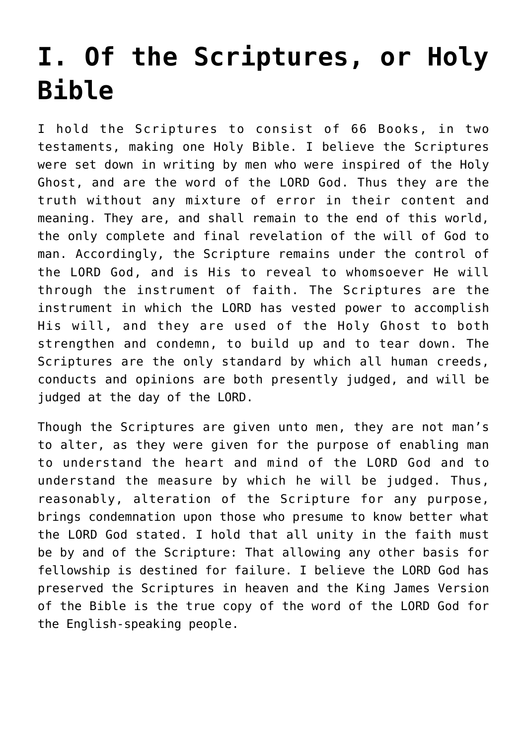# **[I. Of the Scriptures, or Holy](https://reproachofmen.org/statement-of-faith/i-of-the-scriptures-or-holy-bible/) [Bible](https://reproachofmen.org/statement-of-faith/i-of-the-scriptures-or-holy-bible/)**

I hold the Scriptures to consist of 66 Books, in two testaments, making one Holy Bible. I believe the Scriptures were set down in writing by men who were inspired of the Holy Ghost, and are the word of the LORD God. Thus they are the truth without any mixture of error in their content and meaning. They are, and shall remain to the end of this world, the only complete and final revelation of the will of God to man. Accordingly, the Scripture remains under the control of the LORD God, and is His to reveal to whomsoever He will through the instrument of faith. The Scriptures are the instrument in which the LORD has vested power to accomplish His will, and they are used of the Holy Ghost to both strengthen and condemn, to build up and to tear down. The Scriptures are the only standard by which all human creeds, conducts and opinions are both presently judged, and will be judged at the day of the LORD.

Though the Scriptures are given unto men, they are not man's to alter, as they were given for the purpose of enabling man to understand the heart and mind of the LORD God and to understand the measure by which he will be judged. Thus, reasonably, alteration of the Scripture for any purpose, brings condemnation upon those who presume to know better what the LORD God stated. I hold that all unity in the faith must be by and of the Scripture: That allowing any other basis for fellowship is destined for failure. I believe the LORD God has preserved the Scriptures in heaven and the King James Version of the Bible is the true copy of the word of the LORD God for the English-speaking people.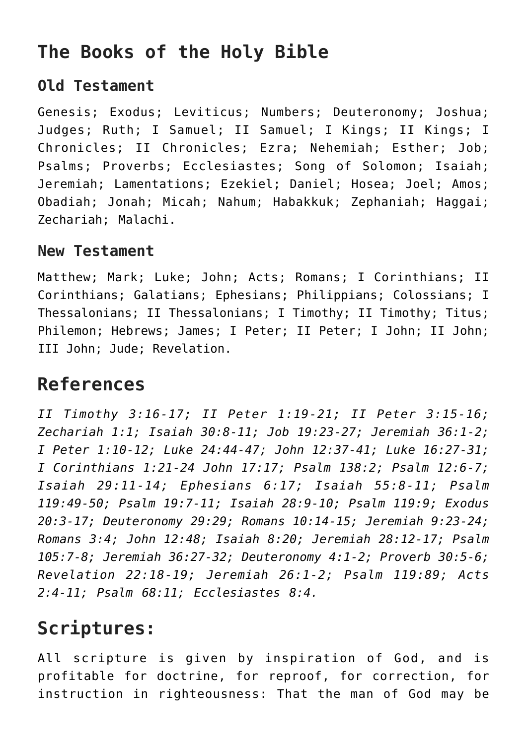## **The Books of the Holy Bible**

#### **Old Testament**

Genesis; Exodus; Leviticus; Numbers; Deuteronomy; Joshua; Judges; Ruth; I Samuel; II Samuel; I Kings; II Kings; I Chronicles; II Chronicles; Ezra; Nehemiah; Esther; Job; Psalms; Proverbs; Ecclesiastes; Song of Solomon; Isaiah; Jeremiah; Lamentations; Ezekiel; Daniel; Hosea; Joel; Amos; Obadiah; Jonah; Micah; Nahum; Habakkuk; Zephaniah; Haggai; Zechariah; Malachi.

#### **New Testament**

Matthew; Mark; Luke; John; Acts; Romans; I Corinthians; II Corinthians; Galatians; Ephesians; Philippians; Colossians; I Thessalonians; II Thessalonians; I Timothy; II Timothy; Titus; Philemon; Hebrews; James; I Peter; II Peter; I John; II John; III John; Jude; Revelation.

## **References**

*II Timothy 3:16-17; II Peter 1:19-21; II Peter 3:15-16; Zechariah 1:1; Isaiah 30:8-11; Job 19:23-27; Jeremiah 36:1-2; I Peter 1:10-12; Luke 24:44-47; John 12:37-41; Luke 16:27-31; I Corinthians 1:21-24 John 17:17; Psalm 138:2; Psalm 12:6-7; Isaiah 29:11-14; Ephesians 6:17; Isaiah 55:8-11; Psalm 119:49-50; Psalm 19:7-11; Isaiah 28:9-10; Psalm 119:9; Exodus 20:3-17; Deuteronomy 29:29; Romans 10:14-15; Jeremiah 9:23-24; Romans 3:4; John 12:48; Isaiah 8:20; Jeremiah 28:12-17; Psalm 105:7-8; Jeremiah 36:27-32; Deuteronomy 4:1-2; Proverb 30:5-6; Revelation 22:18-19; Jeremiah 26:1-2; Psalm 119:89; Acts 2:4-11; Psalm 68:11; Ecclesiastes 8:4.*

## **Scriptures:**

All scripture is given by inspiration of God, and is profitable for doctrine, for reproof, for correction, for instruction in righteousness: That the man of God may be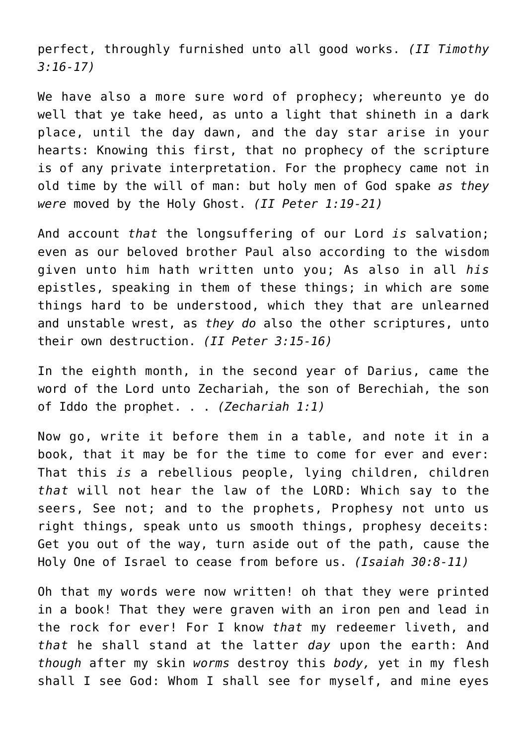perfect, throughly furnished unto all good works. *(II Timothy 3:16-17)*

We have also a more sure word of prophecy; whereunto ye do well that ye take heed, as unto a light that shineth in a dark place, until the day dawn, and the day star arise in your hearts: Knowing this first, that no prophecy of the scripture is of any private interpretation. For the prophecy came not in old time by the will of man: but holy men of God spake *as they were* moved by the Holy Ghost. *(II Peter 1:19-21)*

And account *that* the longsuffering of our Lord *is* salvation; even as our beloved brother Paul also according to the wisdom given unto him hath written unto you; As also in all *his* epistles, speaking in them of these things; in which are some things hard to be understood, which they that are unlearned and unstable wrest, as *they do* also the other scriptures, unto their own destruction. *(II Peter 3:15-16)*

In the eighth month, in the second year of Darius, came the word of the Lord unto Zechariah, the son of Berechiah, the son of Iddo the prophet. . . *(Zechariah 1:1)*

Now go, write it before them in a table, and note it in a book, that it may be for the time to come for ever and ever: That this *is* a rebellious people, lying children, children *that* will not hear the law of the LORD: Which say to the seers, See not; and to the prophets, Prophesy not unto us right things, speak unto us smooth things, prophesy deceits: Get you out of the way, turn aside out of the path, cause the Holy One of Israel to cease from before us. *(Isaiah 30:8-11)*

Oh that my words were now written! oh that they were printed in a book! That they were graven with an iron pen and lead in the rock for ever! For I know *that* my redeemer liveth, and *that* he shall stand at the latter *day* upon the earth: And *though* after my skin *worms* destroy this *body,* yet in my flesh shall I see God: Whom I shall see for myself, and mine eyes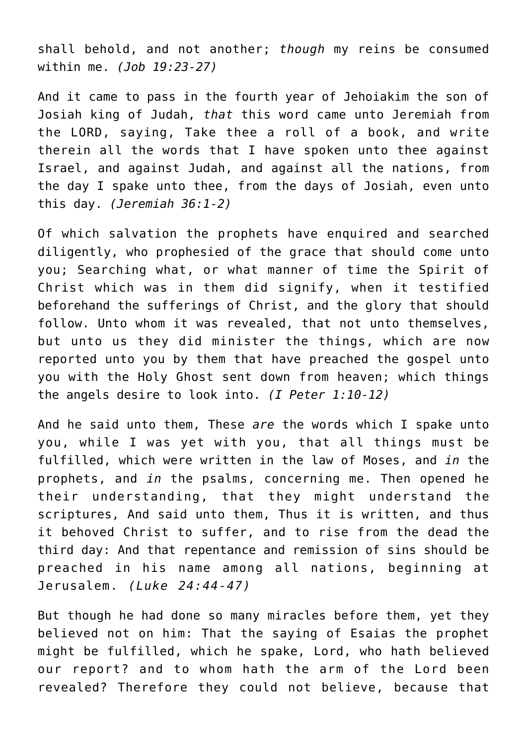shall behold, and not another; *though* my reins be consumed within me. *(Job 19:23-27)*

And it came to pass in the fourth year of Jehoiakim the son of Josiah king of Judah, *that* this word came unto Jeremiah from the LORD, saying, Take thee a roll of a book, and write therein all the words that I have spoken unto thee against Israel, and against Judah, and against all the nations, from the day I spake unto thee, from the days of Josiah, even unto this day. *(Jeremiah 36:1-2)*

Of which salvation the prophets have enquired and searched diligently, who prophesied of the grace that should come unto you; Searching what, or what manner of time the Spirit of Christ which was in them did signify, when it testified beforehand the sufferings of Christ, and the glory that should follow. Unto whom it was revealed, that not unto themselves, but unto us they did minister the things, which are now reported unto you by them that have preached the gospel unto you with the Holy Ghost sent down from heaven; which things the angels desire to look into. *(I Peter 1:10-12)*

And he said unto them, These *are* the words which I spake unto you, while I was yet with you, that all things must be fulfilled, which were written in the law of Moses, and *in* the prophets, and *in* the psalms, concerning me. Then opened he their understanding, that they might understand the scriptures, And said unto them, Thus it is written, and thus it behoved Christ to suffer, and to rise from the dead the third day: And that repentance and remission of sins should be preached in his name among all nations, beginning at Jerusalem. *(Luke 24:44-47)*

But though he had done so many miracles before them, yet they believed not on him: That the saying of Esaias the prophet might be fulfilled, which he spake, Lord, who hath believed our report? and to whom hath the arm of the Lord been revealed? Therefore they could not believe, because that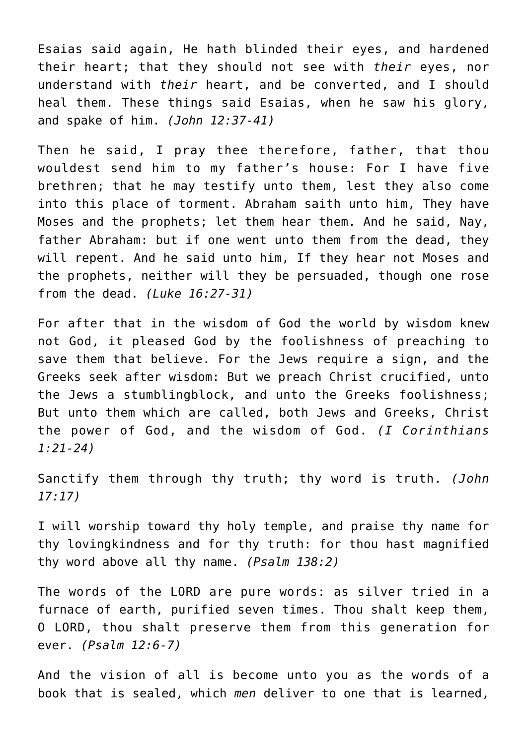Esaias said again, He hath blinded their eyes, and hardened their heart; that they should not see with *their* eyes, nor understand with *their* heart, and be converted, and I should heal them. These things said Esaias, when he saw his glory, and spake of him. *(John 12:37-41)*

Then he said, I pray thee therefore, father, that thou wouldest send him to my father's house: For I have five brethren; that he may testify unto them, lest they also come into this place of torment. Abraham saith unto him, They have Moses and the prophets; let them hear them. And he said, Nay, father Abraham: but if one went unto them from the dead, they will repent. And he said unto him, If they hear not Moses and the prophets, neither will they be persuaded, though one rose from the dead. *(Luke 16:27-31)*

For after that in the wisdom of God the world by wisdom knew not God, it pleased God by the foolishness of preaching to save them that believe. For the Jews require a sign, and the Greeks seek after wisdom: But we preach Christ crucified, unto the Jews a stumblingblock, and unto the Greeks foolishness; But unto them which are called, both Jews and Greeks, Christ the power of God, and the wisdom of God. *(I Corinthians 1:21-24)*

Sanctify them through thy truth; thy word is truth. *(John 17:17)*

I will worship toward thy holy temple, and praise thy name for thy lovingkindness and for thy truth: for thou hast magnified thy word above all thy name. *(Psalm 138:2)*

The words of the LORD are pure words: as silver tried in a furnace of earth, purified seven times. Thou shalt keep them, O LORD, thou shalt preserve them from this generation for ever. *(Psalm 12:6-7)*

And the vision of all is become unto you as the words of a book that is sealed, which *men* deliver to one that is learned,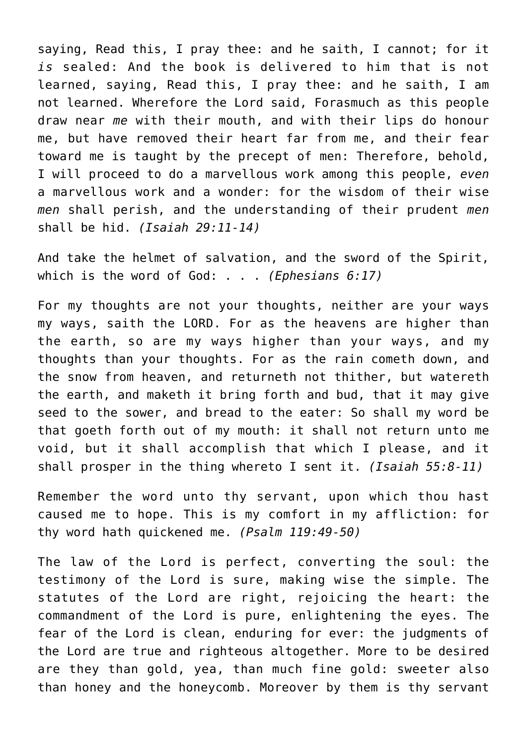saying, Read this, I pray thee: and he saith, I cannot; for it *is* sealed: And the book is delivered to him that is not learned, saying, Read this, I pray thee: and he saith, I am not learned. Wherefore the Lord said, Forasmuch as this people draw near *me* with their mouth, and with their lips do honour me, but have removed their heart far from me, and their fear toward me is taught by the precept of men: Therefore, behold, I will proceed to do a marvellous work among this people, *even* a marvellous work and a wonder: for the wisdom of their wise *men* shall perish, and the understanding of their prudent *men* shall be hid. *(Isaiah 29:11-14)*

And take the helmet of salvation, and the sword of the Spirit, which is the word of God: . . . *(Ephesians 6:17)*

For my thoughts are not your thoughts, neither are your ways my ways, saith the LORD. For as the heavens are higher than the earth, so are my ways higher than your ways, and my thoughts than your thoughts. For as the rain cometh down, and the snow from heaven, and returneth not thither, but watereth the earth, and maketh it bring forth and bud, that it may give seed to the sower, and bread to the eater: So shall my word be that goeth forth out of my mouth: it shall not return unto me void, but it shall accomplish that which I please, and it shall prosper in the thing whereto I sent it. *(Isaiah 55:8-11)*

Remember the word unto thy servant, upon which thou hast caused me to hope. This is my comfort in my affliction: for thy word hath quickened me. *(Psalm 119:49-50)*

The law of the Lord is perfect, converting the soul: the testimony of the Lord is sure, making wise the simple. The statutes of the Lord are right, rejoicing the heart: the commandment of the Lord is pure, enlightening the eyes. The fear of the Lord is clean, enduring for ever: the judgments of the Lord are true and righteous altogether. More to be desired are they than gold, yea, than much fine gold: sweeter also than honey and the honeycomb. Moreover by them is thy servant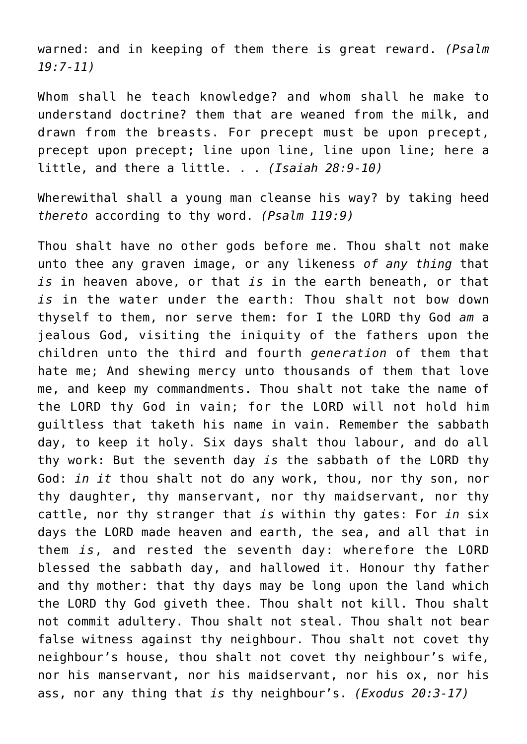warned: and in keeping of them there is great reward. *(Psalm 19:7-11)*

Whom shall he teach knowledge? and whom shall he make to understand doctrine? them that are weaned from the milk, and drawn from the breasts. For precept must be upon precept, precept upon precept; line upon line, line upon line; here a little, and there a little. . . *(Isaiah 28:9-10)*

Wherewithal shall a young man cleanse his way? by taking heed *thereto* according to thy word. *(Psalm 119:9)*

Thou shalt have no other gods before me. Thou shalt not make unto thee any graven image, or any likeness *of any thing* that *is* in heaven above, or that *is* in the earth beneath, or that *is* in the water under the earth: Thou shalt not bow down thyself to them, nor serve them: for I the LORD thy God *am* a jealous God, visiting the iniquity of the fathers upon the children unto the third and fourth *generation* of them that hate me; And shewing mercy unto thousands of them that love me, and keep my commandments. Thou shalt not take the name of the LORD thy God in vain; for the LORD will not hold him guiltless that taketh his name in vain. Remember the sabbath day, to keep it holy. Six days shalt thou labour, and do all thy work: But the seventh day *is* the sabbath of the LORD thy God: *in it* thou shalt not do any work, thou, nor thy son, nor thy daughter, thy manservant, nor thy maidservant, nor thy cattle, nor thy stranger that *is* within thy gates: For *in* six days the LORD made heaven and earth, the sea, and all that in them *is*, and rested the seventh day: wherefore the LORD blessed the sabbath day, and hallowed it. Honour thy father and thy mother: that thy days may be long upon the land which the LORD thy God giveth thee. Thou shalt not kill. Thou shalt not commit adultery. Thou shalt not steal. Thou shalt not bear false witness against thy neighbour. Thou shalt not covet thy neighbour's house, thou shalt not covet thy neighbour's wife, nor his manservant, nor his maidservant, nor his ox, nor his ass, nor any thing that *is* thy neighbour's. *(Exodus 20:3-17)*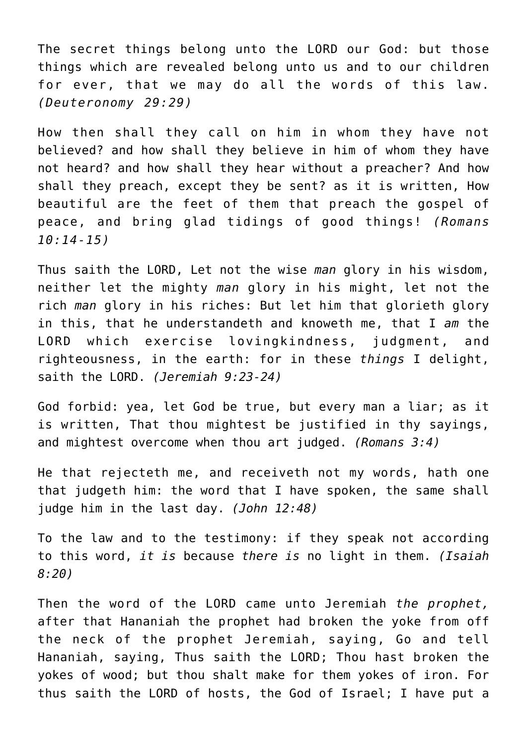The secret things belong unto the LORD our God: but those things which are revealed belong unto us and to our children for ever, that we may do all the words of this law. *(Deuteronomy 29:29)*

How then shall they call on him in whom they have not believed? and how shall they believe in him of whom they have not heard? and how shall they hear without a preacher? And how shall they preach, except they be sent? as it is written, How beautiful are the feet of them that preach the gospel of peace, and bring glad tidings of good things! *(Romans 10:14-15)*

Thus saith the LORD, Let not the wise *man* glory in his wisdom, neither let the mighty *man* glory in his might, let not the rich *man* glory in his riches: But let him that glorieth glory in this, that he understandeth and knoweth me, that I *am* the LORD which exercise lovingkindness, judgment, and righteousness, in the earth: for in these *things* I delight, saith the LORD. *(Jeremiah 9:23-24)*

God forbid: yea, let God be true, but every man a liar; as it is written, That thou mightest be justified in thy sayings, and mightest overcome when thou art judged. *(Romans 3:4)*

He that rejecteth me, and receiveth not my words, hath one that judgeth him: the word that I have spoken, the same shall judge him in the last day. *(John 12:48)*

To the law and to the testimony: if they speak not according to this word, *it is* because *there is* no light in them. *(Isaiah 8:20)*

Then the word of the LORD came unto Jeremiah *the prophet,* after that Hananiah the prophet had broken the yoke from off the neck of the prophet Jeremiah, saying, Go and tell Hananiah, saying, Thus saith the LORD; Thou hast broken the yokes of wood; but thou shalt make for them yokes of iron. For thus saith the LORD of hosts, the God of Israel; I have put a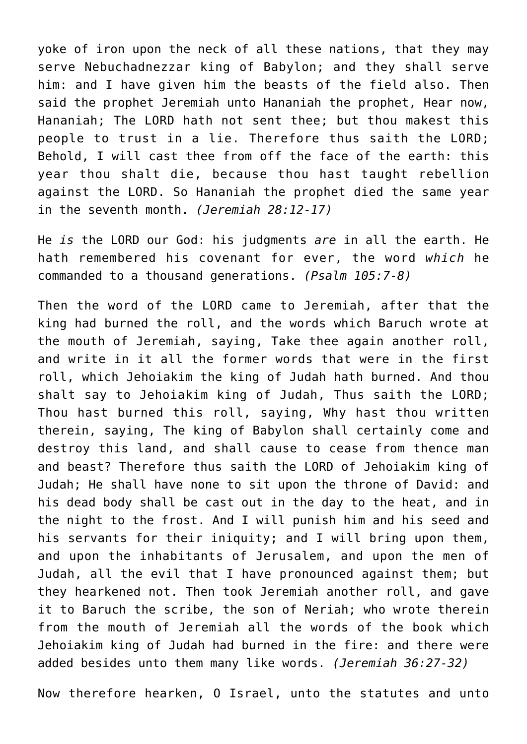yoke of iron upon the neck of all these nations, that they may serve Nebuchadnezzar king of Babylon; and they shall serve him: and I have given him the beasts of the field also. Then said the prophet Jeremiah unto Hananiah the prophet, Hear now, Hananiah; The LORD hath not sent thee; but thou makest this people to trust in a lie. Therefore thus saith the LORD; Behold, I will cast thee from off the face of the earth: this year thou shalt die, because thou hast taught rebellion against the LORD. So Hananiah the prophet died the same year in the seventh month. *(Jeremiah 28:12-17)*

He *is* the LORD our God: his judgments *are* in all the earth. He hath remembered his covenant for ever, the word *which* he commanded to a thousand generations. *(Psalm 105:7-8)*

Then the word of the LORD came to Jeremiah, after that the king had burned the roll, and the words which Baruch wrote at the mouth of Jeremiah, saying, Take thee again another roll, and write in it all the former words that were in the first roll, which Jehoiakim the king of Judah hath burned. And thou shalt say to Jehoiakim king of Judah, Thus saith the LORD; Thou hast burned this roll, saying, Why hast thou written therein, saying, The king of Babylon shall certainly come and destroy this land, and shall cause to cease from thence man and beast? Therefore thus saith the LORD of Jehoiakim king of Judah; He shall have none to sit upon the throne of David: and his dead body shall be cast out in the day to the heat, and in the night to the frost. And I will punish him and his seed and his servants for their iniquity; and I will bring upon them, and upon the inhabitants of Jerusalem, and upon the men of Judah, all the evil that I have pronounced against them; but they hearkened not. Then took Jeremiah another roll, and gave it to Baruch the scribe, the son of Neriah; who wrote therein from the mouth of Jeremiah all the words of the book which Jehoiakim king of Judah had burned in the fire: and there were added besides unto them many like words. *(Jeremiah 36:27-32)*

Now therefore hearken, O Israel, unto the statutes and unto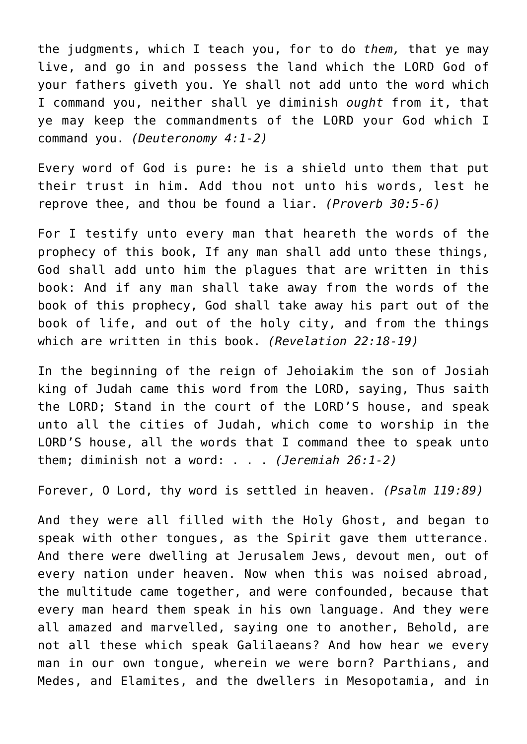the judgments, which I teach you, for to do *them,* that ye may live, and go in and possess the land which the LORD God of your fathers giveth you. Ye shall not add unto the word which I command you, neither shall ye diminish *ought* from it, that ye may keep the commandments of the LORD your God which I command you. *(Deuteronomy 4:1-2)*

Every word of God is pure: he is a shield unto them that put their trust in him. Add thou not unto his words, lest he reprove thee, and thou be found a liar. *(Proverb 30:5-6)*

For I testify unto every man that heareth the words of the prophecy of this book, If any man shall add unto these things, God shall add unto him the plagues that are written in this book: And if any man shall take away from the words of the book of this prophecy, God shall take away his part out of the book of life, and out of the holy city, and from the things which are written in this book. *(Revelation 22:18-19)*

In the beginning of the reign of Jehoiakim the son of Josiah king of Judah came this word from the LORD, saying, Thus saith the LORD; Stand in the court of the LORD'S house, and speak unto all the cities of Judah, which come to worship in the LORD'S house, all the words that I command thee to speak unto them; diminish not a word: . . . *(Jeremiah 26:1-2)*

Forever, O Lord, thy word is settled in heaven. *(Psalm 119:89)*

And they were all filled with the Holy Ghost, and began to speak with other tongues, as the Spirit gave them utterance. And there were dwelling at Jerusalem Jews, devout men, out of every nation under heaven. Now when this was noised abroad, the multitude came together, and were confounded, because that every man heard them speak in his own language. And they were all amazed and marvelled, saying one to another, Behold, are not all these which speak Galilaeans? And how hear we every man in our own tongue, wherein we were born? Parthians, and Medes, and Elamites, and the dwellers in Mesopotamia, and in